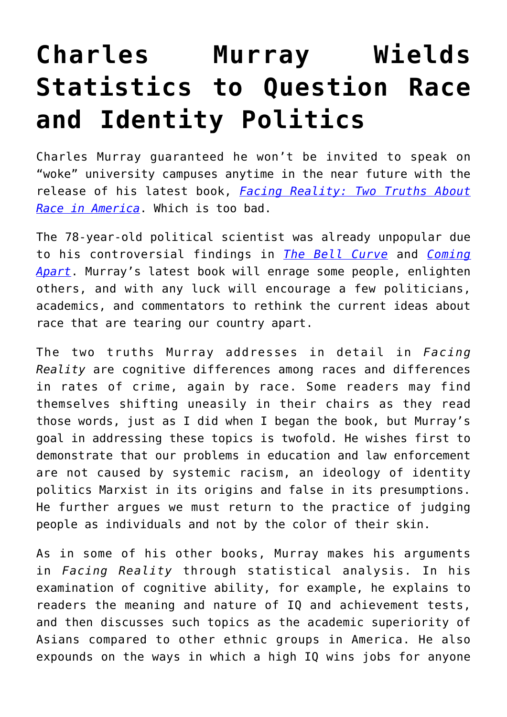## **[Charles Murray Wields](https://intellectualtakeout.org/2021/06/charles-murray-wields-statistics-to-question-race-and-identity-politics/) [Statistics to Question Race](https://intellectualtakeout.org/2021/06/charles-murray-wields-statistics-to-question-race-and-identity-politics/) [and Identity Politics](https://intellectualtakeout.org/2021/06/charles-murray-wields-statistics-to-question-race-and-identity-politics/)**

Charles Murray guaranteed he won't be invited to speak on "woke" university campuses anytime in the near future with the release of his latest book, *[Facing Reality: Two Truths About](https://www.amazon.com/gp/product/1641771976/ref=as_li_qf_asin_il_tl?ie=UTF8&tag=intelltakeo0d-20&creative=9325&linkCode=as2&creativeASIN=1641771976&linkId=c637dcff1da4194c1ca2447c2565f8e8) [Race in America](https://www.amazon.com/gp/product/1641771976/ref=as_li_qf_asin_il_tl?ie=UTF8&tag=intelltakeo0d-20&creative=9325&linkCode=as2&creativeASIN=1641771976&linkId=c637dcff1da4194c1ca2447c2565f8e8)*. Which is too bad.

The 78-year-old political scientist was already unpopular due to his controversial findings in *[The Bell Curve](https://www.amazon.com/gp/product/0684824299/ref=as_li_tl?ie=UTF8&camp=1789&creative=9325&creativeASIN=0684824299&linkCode=as2&tag=intelltakeo0d-20&linkId=e751872f9a590d119071edc920a46699)* and *[Coming](https://www.amazon.com/gp/product/030745343X/ref=as_li_tl?ie=UTF8&camp=1789&creative=9325&creativeASIN=030745343X&linkCode=as2&tag=intelltakeo0d-20&linkId=ab84c96dcdab048b3585e96ea33aeeac) [Apart](https://www.amazon.com/gp/product/030745343X/ref=as_li_tl?ie=UTF8&camp=1789&creative=9325&creativeASIN=030745343X&linkCode=as2&tag=intelltakeo0d-20&linkId=ab84c96dcdab048b3585e96ea33aeeac)*. Murray's latest book will enrage some people, enlighten others, and with any luck will encourage a few politicians, academics, and commentators to rethink the current ideas about race that are tearing our country apart.

The two truths Murray addresses in detail in *Facing Reality* are cognitive differences among races and differences in rates of crime, again by race. Some readers may find themselves shifting uneasily in their chairs as they read those words, just as I did when I began the book, but Murray's goal in addressing these topics is twofold. He wishes first to demonstrate that our problems in education and law enforcement are not caused by systemic racism, an ideology of identity politics Marxist in its origins and false in its presumptions. He further argues we must return to the practice of judging people as individuals and not by the color of their skin.

As in some of his other books, Murray makes his arguments in *Facing Reality* through statistical analysis. In his examination of cognitive ability, for example, he explains to readers the meaning and nature of IQ and achievement tests, and then discusses such topics as the academic superiority of Asians compared to other ethnic groups in America. He also expounds on the ways in which a high IQ wins jobs for anyone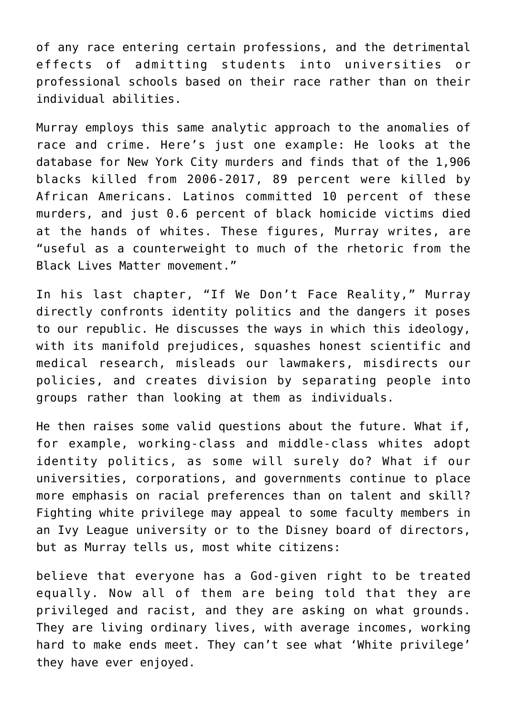of any race entering certain professions, and the detrimental effects of admitting students into universities or professional schools based on their race rather than on their individual abilities.

Murray employs this same analytic approach to the anomalies of race and crime. Here's just one example: He looks at the database for New York City murders and finds that of the 1,906 blacks killed from 2006-2017, 89 percent were killed by African Americans. Latinos committed 10 percent of these murders, and just 0.6 percent of black homicide victims died at the hands of whites. These figures, Murray writes, are "useful as a counterweight to much of the rhetoric from the Black Lives Matter movement."

In his last chapter, "If We Don't Face Reality," Murray directly confronts identity politics and the dangers it poses to our republic. He discusses the ways in which this ideology, with its manifold prejudices, squashes honest scientific and medical research, misleads our lawmakers, misdirects our policies, and creates division by separating people into groups rather than looking at them as individuals.

He then raises some valid questions about the future. What if, for example, working-class and middle-class whites adopt identity politics, as some will surely do? What if our universities, corporations, and governments continue to place more emphasis on racial preferences than on talent and skill? Fighting white privilege may appeal to some faculty members in an Ivy League university or to the Disney board of directors, but as Murray tells us, most white citizens:

believe that everyone has a God-given right to be treated equally. Now all of them are being told that they are privileged and racist, and they are asking on what grounds. They are living ordinary lives, with average incomes, working hard to make ends meet. They can't see what 'White privilege' they have ever enjoyed.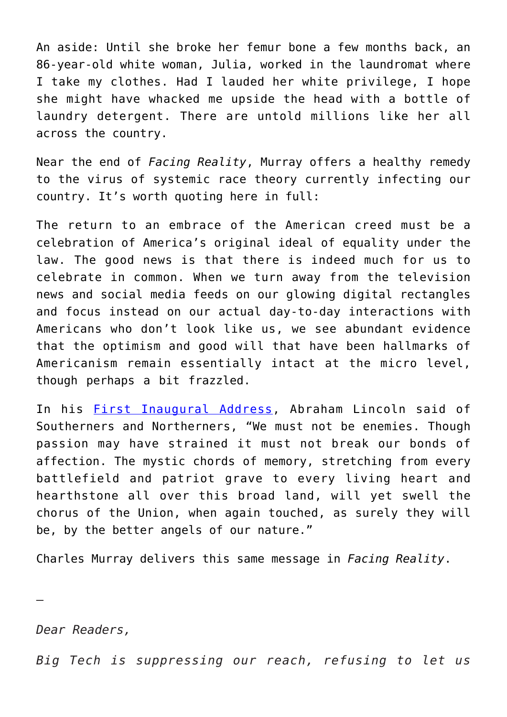An aside: Until she broke her femur bone a few months back, an 86-year-old white woman, Julia, worked in the laundromat where I take my clothes. Had I lauded her white privilege, I hope she might have whacked me upside the head with a bottle of laundry detergent. There are untold millions like her all across the country.

Near the end of *Facing Reality*, Murray offers a healthy remedy to the virus of systemic race theory currently infecting our country. It's worth quoting here in full:

The return to an embrace of the American creed must be a celebration of America's original ideal of equality under the law. The good news is that there is indeed much for us to celebrate in common. When we turn away from the television news and social media feeds on our glowing digital rectangles and focus instead on our actual day-to-day interactions with Americans who don't look like us, we see abundant evidence that the optimism and good will that have been hallmarks of Americanism remain essentially intact at the micro level, though perhaps a bit frazzled.

In his [First Inaugural Address](https://avalon.law.yale.edu/19th_century/lincoln1.asp), Abraham Lincoln said of Southerners and Northerners, "We must not be enemies. Though passion may have strained it must not break our bonds of affection. The mystic chords of memory, stretching from every battlefield and patriot grave to every living heart and hearthstone all over this broad land, will yet swell the chorus of the Union, when again touched, as surely they will be, by the better angels of our nature."

Charles Murray delivers this same message in *Facing Reality*.

*Dear Readers,*

—

*Big Tech is suppressing our reach, refusing to let us*